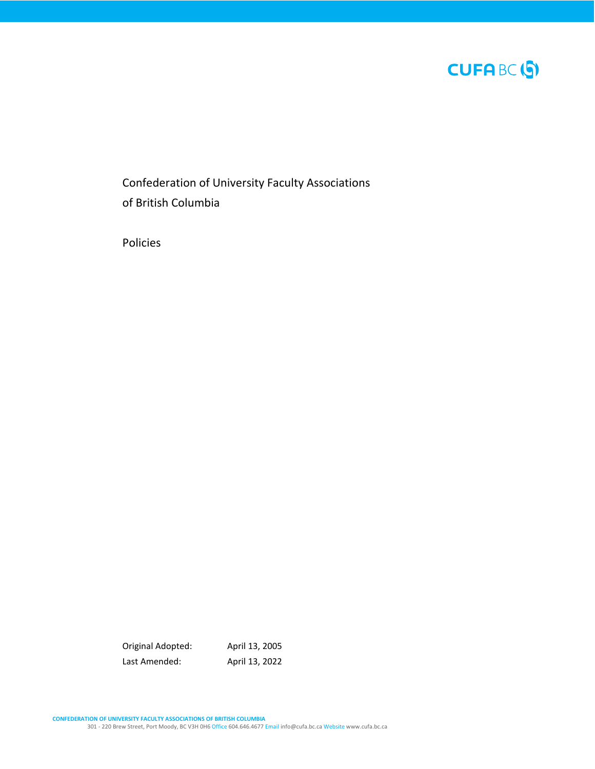

Confederation of University Faculty Associations of British Columbia

Policies

Original Adopted: April 13, 2005 Last Amended: April 13, 2022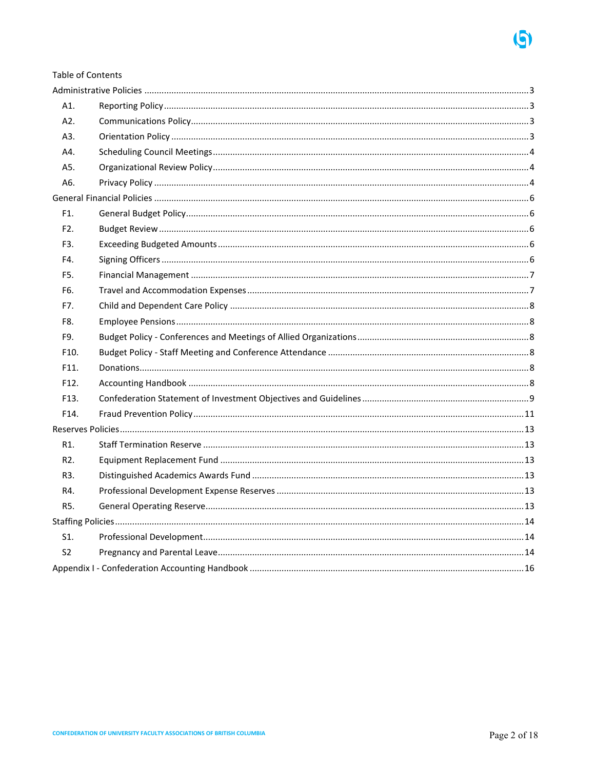**Table of Contents** 

| A1.               |  |
|-------------------|--|
| A2.               |  |
| A3.               |  |
| A4.               |  |
| A5.               |  |
| A6.               |  |
|                   |  |
| F1.               |  |
| F <sub>2</sub> .  |  |
| F3.               |  |
| F4.               |  |
| F5.               |  |
| F6.               |  |
| F7.               |  |
| F8.               |  |
| F9.               |  |
| F10.              |  |
| F11.              |  |
| F <sub>12</sub> . |  |
| F <sub>13</sub> . |  |
| F14.              |  |
|                   |  |
| R1.               |  |
| R <sub>2</sub> .  |  |
| R3.               |  |
| R4.               |  |
| R5.               |  |
|                   |  |
| S1.               |  |
| S <sub>2</sub>    |  |
|                   |  |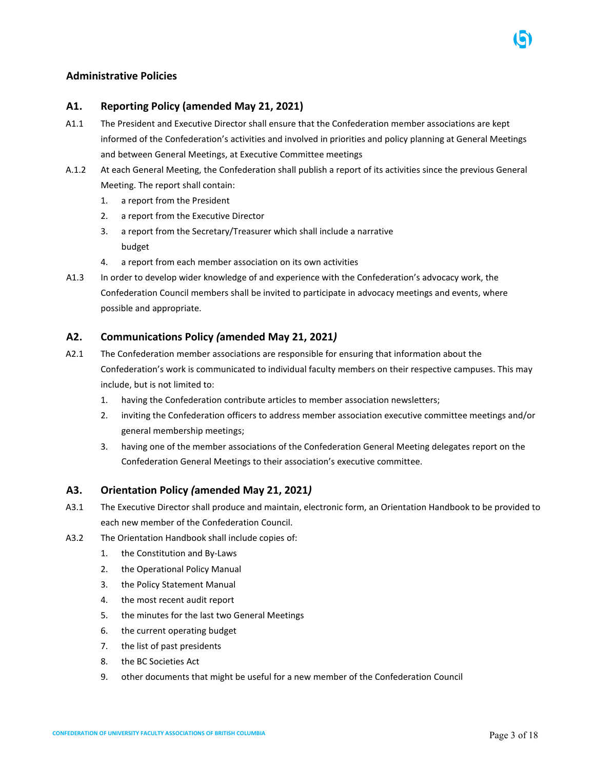# <span id="page-2-0"></span>**Administrative Policies**

### <span id="page-2-1"></span>**A1. Reporting Policy (amended May 21, 2021)**

- A1.1 The President and Executive Director shall ensure that the Confederation member associations are kept informed of the Confederation's activities and involved in priorities and policy planning at General Meetings and between General Meetings, at Executive Committee meetings
- A.1.2 At each General Meeting, the Confederation shall publish a report of its activities since the previous General Meeting. The report shall contain:
	- 1. a report from the President
	- 2. a report from the Executive Director
	- 3. a report from the Secretary/Treasurer which shall include a narrative budget
	- 4. a report from each member association on its own activities
- A1.3 In order to develop wider knowledge of and experience with the Confederation's advocacy work, the Confederation Council members shall be invited to participate in advocacy meetings and events, where possible and appropriate.

# <span id="page-2-2"></span>**A2. Communications Policy** *(***amended May 21, 2021***)*

- A2.1 The Confederation member associations are responsible for ensuring that information about the Confederation's work is communicated to individual faculty members on their respective campuses. This may include, but is not limited to:
	- 1. having the Confederation contribute articles to member association newsletters;
	- 2. inviting the Confederation officers to address member association executive committee meetings and/or general membership meetings;
	- 3. having one of the member associations of the Confederation General Meeting delegates report on the Confederation General Meetings to their association's executive committee.

# <span id="page-2-3"></span>**A3. Orientation Policy** *(***amended May 21, 2021***)*

- A3.1 The Executive Director shall produce and maintain, electronic form, an Orientation Handbook to be provided to each new member of the Confederation Council.
- A3.2 The Orientation Handbook shall include copies of:
	- 1. the Constitution and By-Laws
	- 2. the Operational Policy Manual
	- 3. the Policy Statement Manual
	- 4. the most recent audit report
	- 5. the minutes for the last two General Meetings
	- 6. the current operating budget
	- 7. the list of past presidents
	- 8. the BC Societies Act
	- 9. other documents that might be useful for a new member of the Confederation Council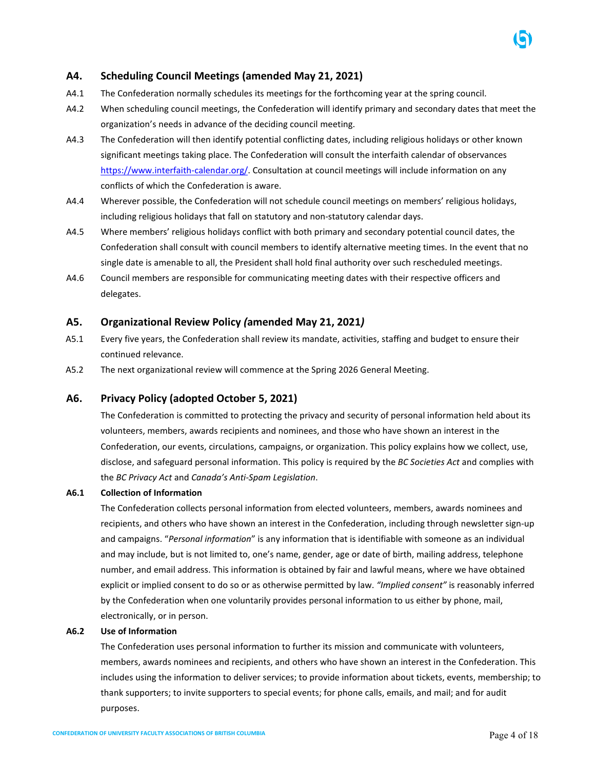# <span id="page-3-0"></span>**A4. Scheduling Council Meetings (amended May 21, 2021)**

- A4.1 The Confederation normally schedules its meetings for the forthcoming year at the spring council.
- A4.2 When scheduling council meetings, the Confederation will identify primary and secondary dates that meet the organization's needs in advance of the deciding council meeting.
- A4.3 The Confederation will then identify potential conflicting dates, including religious holidays or other known significant meetings taking place. The Confederation will consult the interfaith calendar of observances [https://www.interfaith-calendar.org/.](https://www.interfaith-calendar.org/) Consultation at council meetings will include information on any conflicts of which the Confederation is aware.
- A4.4 Wherever possible, the Confederation will not schedule council meetings on members' religious holidays, including religious holidays that fall on statutory and non-statutory calendar days.
- A4.5 Where members' religious holidays conflict with both primary and secondary potential council dates, the Confederation shall consult with council members to identify alternative meeting times. In the event that no single date is amenable to all, the President shall hold final authority over such rescheduled meetings.
- A4.6 Council members are responsible for communicating meeting dates with their respective officers and delegates.

### <span id="page-3-1"></span>**A5. Organizational Review Policy** *(***amended May 21, 2021***)*

- A5.1 Every five years, the Confederation shall review its mandate, activities, staffing and budget to ensure their continued relevance.
- A5.2 The next organizational review will commence at the Spring 2026 General Meeting.

### **A6. Privacy Policy (adopted October 5, 2021)**

The Confederation is committed to protecting the privacy and security of personal information held about its volunteers, members, awards recipients and nominees, and those who have shown an interest in the Confederation, our events, circulations, campaigns, or organization. This policy explains how we collect, use, disclose, and safeguard personal information. This policy is required by the *BC Societies Act* and complies with the *BC Privacy Act* and *Canada's Anti-Spam Legislation*.

#### **A6.1 Collection of Information**

The Confederation collects personal information from elected volunteers, members, awards nominees and recipients, and others who have shown an interest in the Confederation, including through newsletter sign-up and campaigns. "*Personal information*" is any information that is identifiable with someone as an individual and may include, but is not limited to, one's name, gender, age or date of birth, mailing address, telephone number, and email address. This information is obtained by fair and lawful means, where we have obtained explicit or implied consent to do so or as otherwise permitted by law. *"Implied consent"* is reasonably inferred by the Confederation when one voluntarily provides personal information to us either by phone, mail, electronically, or in person.

### **A6.2 Use of Information**

The Confederation uses personal information to further its mission and communicate with volunteers, members, awards nominees and recipients, and others who have shown an interest in the Confederation. This includes using the information to deliver services; to provide information about tickets, events, membership; to thank supporters; to invite supporters to special events; for phone calls, emails, and mail; and for audit purposes.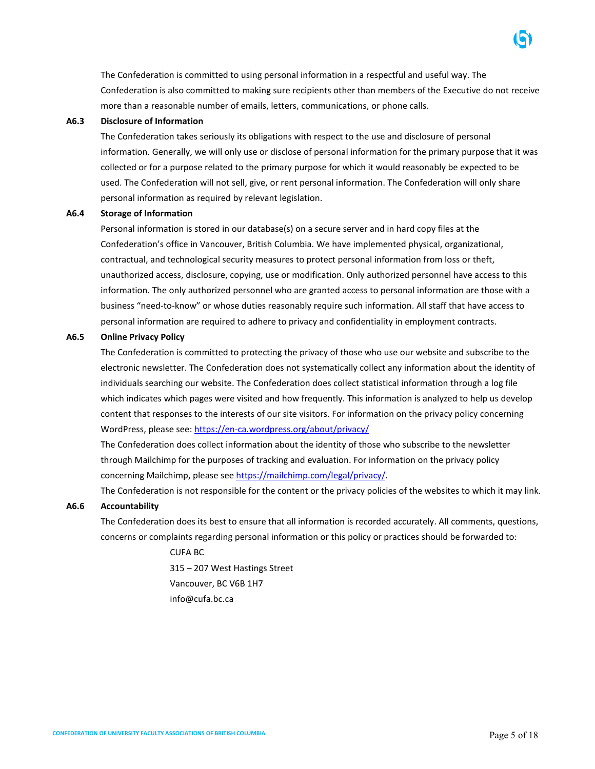The Confederation is committed to using personal information in a respectful and useful way. The Confederation is also committed to making sure recipients other than members of the Executive do not receive more than a reasonable number of emails, letters, communications, or phone calls.

#### **A6.3 Disclosure of Information**

The Confederation takes seriously its obligations with respect to the use and disclosure of personal information. Generally, we will only use or disclose of personal information for the primary purpose that it was collected or for a purpose related to the primary purpose for which it would reasonably be expected to be used. The Confederation will not sell, give, or rent personal information. The Confederation will only share personal information as required by relevant legislation.

### **A6.4 Storage of Information**

Personal information is stored in our database(s) on a secure server and in hard copy files at the Confederation's office in Vancouver, British Columbia. We have implemented physical, organizational, contractual, and technological security measures to protect personal information from loss or theft, unauthorized access, disclosure, copying, use or modification. Only authorized personnel have access to this information. The only authorized personnel who are granted access to personal information are those with a business "need-to-know" or whose duties reasonably require such information. All staff that have access to personal information are required to adhere to privacy and confidentiality in employment contracts.

### **A6.5 Online Privacy Policy**

The Confederation is committed to protecting the privacy of those who use our website and subscribe to the electronic newsletter. The Confederation does not systematically collect any information about the identity of individuals searching our website. The Confederation does collect statistical information through a log file which indicates which pages were visited and how frequently. This information is analyzed to help us develop content that responses to the interests of our site visitors. For information on the privacy policy concerning WordPress, please see:<https://en-ca.wordpress.org/about/privacy/>

The Confederation does collect information about the identity of those who subscribe to the newsletter through Mailchimp for the purposes of tracking and evaluation. For information on the privacy policy concerning Mailchimp, please see [https://mailchimp.com/legal/privacy/.](https://mailchimp.com/legal/privacy/)

The Confederation is not responsible for the content or the privacy policies of the websites to which it may link.

### **A6.6 Accountability**

The Confederation does its best to ensure that all information is recorded accurately. All comments, questions, concerns or complaints regarding personal information or this policy or practices should be forwarded to:

> CUFA BC 315 – 207 West Hastings Street Vancouver, BC V6B 1H7 info@cufa.bc.ca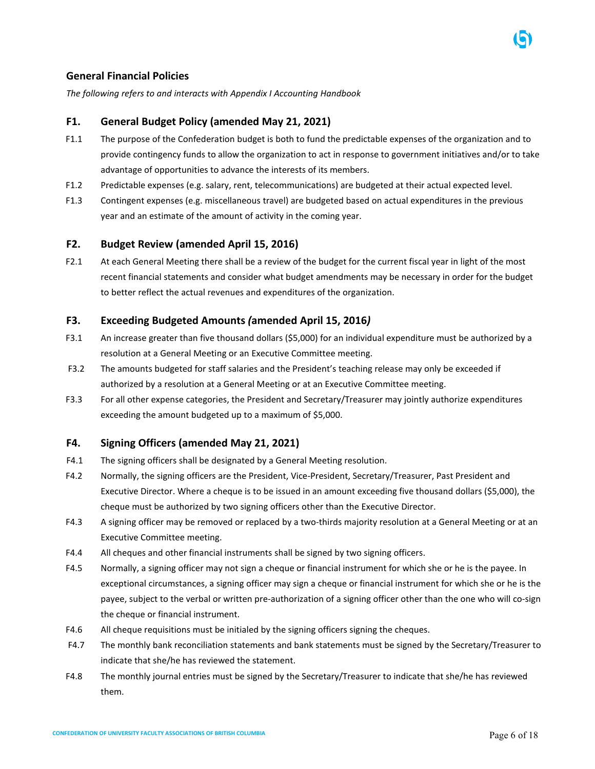<span id="page-5-0"></span>*The following refers to and interacts with Appendix I Accounting Handbook*

# <span id="page-5-1"></span>**F1. General Budget Policy (amended May 21, 2021)**

- F1.1 The purpose of the Confederation budget is both to fund the predictable expenses of the organization and to provide contingency funds to allow the organization to act in response to government initiatives and/or to take advantage of opportunities to advance the interests of its members.
- F1.2 Predictable expenses (e.g. salary, rent, telecommunications) are budgeted at their actual expected level.
- F1.3 Contingent expenses (e.g. miscellaneous travel) are budgeted based on actual expenditures in the previous year and an estimate of the amount of activity in the coming year.

# <span id="page-5-2"></span>**F2. Budget Review (amended April 15, 2016)**

F2.1 At each General Meeting there shall be a review of the budget for the current fiscal year in light of the most recent financial statements and consider what budget amendments may be necessary in order for the budget to better reflect the actual revenues and expenditures of the organization.

# <span id="page-5-3"></span>**F3. Exceeding Budgeted Amounts** *(***amended April 15, 2016***)*

- F3.1 An increase greater than five thousand dollars (\$5,000) for an individual expenditure must be authorized by a resolution at a General Meeting or an Executive Committee meeting.
- F3.2 The amounts budgeted for staff salaries and the President's teaching release may only be exceeded if authorized by a resolution at a General Meeting or at an Executive Committee meeting.
- F3.3 For all other expense categories, the President and Secretary/Treasurer may jointly authorize expenditures exceeding the amount budgeted up to a maximum of \$5,000.

# <span id="page-5-4"></span>**F4. Signing Officers (amended May 21, 2021)**

- F4.1 The signing officers shall be designated by a General Meeting resolution.
- F4.2 Normally, the signing officers are the President, Vice-President, Secretary/Treasurer, Past President and Executive Director. Where a cheque is to be issued in an amount exceeding five thousand dollars (\$5,000), the cheque must be authorized by two signing officers other than the Executive Director.
- F4.3 A signing officer may be removed or replaced by a two-thirds majority resolution at a General Meeting or at an Executive Committee meeting.
- F4.4 All cheques and other financial instruments shall be signed by two signing officers.
- F4.5 Normally, a signing officer may not sign a cheque or financial instrument for which she or he is the payee. In exceptional circumstances, a signing officer may sign a cheque or financial instrument for which she or he is the payee, subject to the verbal or written pre-authorization of a signing officer other than the one who will co-sign the cheque or financial instrument.
- F4.6 All cheque requisitions must be initialed by the signing officers signing the cheques.
- F4.7 The monthly bank reconciliation statements and bank statements must be signed by the Secretary/Treasurer to indicate that she/he has reviewed the statement.
- F4.8 The monthly journal entries must be signed by the Secretary/Treasurer to indicate that she/he has reviewed them.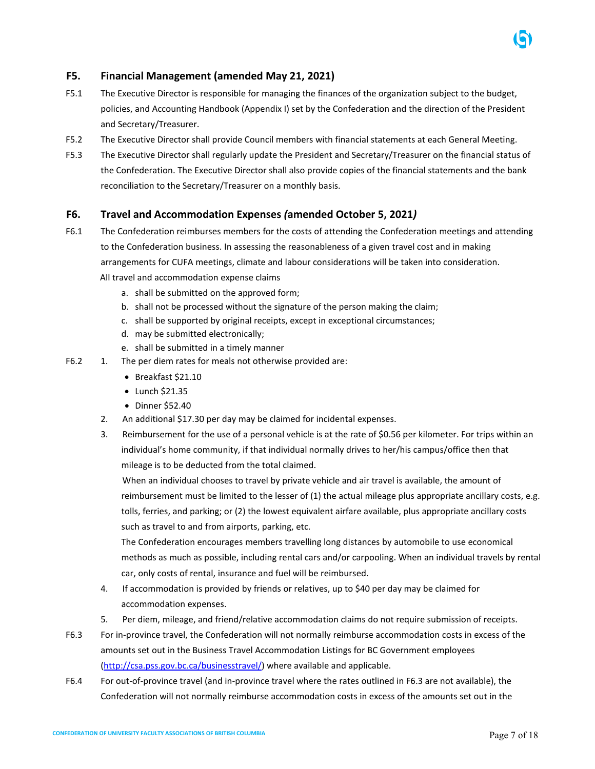# <span id="page-6-0"></span>**F5. Financial Management (amended May 21, 2021)**

- F5.1 The Executive Director is responsible for managing the finances of the organization subject to the budget, policies, and Accounting Handbook (Appendix I) set by the Confederation and the direction of the President and Secretary/Treasurer.
- F5.2 The Executive Director shall provide Council members with financial statements at each General Meeting.
- F5.3 The Executive Director shall regularly update the President and Secretary/Treasurer on the financial status of the Confederation. The Executive Director shall also provide copies of the financial statements and the bank reconciliation to the Secretary/Treasurer on a monthly basis.

### <span id="page-6-1"></span>**F6. Travel and Accommodation Expenses** *(***amended October 5, 2021***)*

- F6.1 The Confederation reimburses members for the costs of attending the Confederation meetings and attending to the Confederation business. In assessing the reasonableness of a given travel cost and in making arrangements for CUFA meetings, climate and labour considerations will be taken into consideration. All travel and accommodation expense claims
	- a. shall be submitted on the approved form;
	- b. shall not be processed without the signature of the person making the claim;
	- c. shall be supported by original receipts, except in exceptional circumstances;
	- d. may be submitted electronically;
	- e. shall be submitted in a timely manner
- F6.2 1. The per diem rates for meals not otherwise provided are:
	- Breakfast \$21.10
	- Lunch \$21.35
	- Dinner \$52.40
	- 2. An additional \$17.30 per day may be claimed for incidental expenses.
	- 3. Reimbursement for the use of a personal vehicle is at the rate of \$0.56 per kilometer. For trips within an individual's home community, if that individual normally drives to her/his campus/office then that mileage is to be deducted from the total claimed.

 When an individual chooses to travel by private vehicle and air travel is available, the amount of reimbursement must be limited to the lesser of (1) the actual mileage plus appropriate ancillary costs, e.g. tolls, ferries, and parking; or (2) the lowest equivalent airfare available, plus appropriate ancillary costs such as travel to and from airports, parking, etc.

The Confederation encourages members travelling long distances by automobile to use economical methods as much as possible, including rental cars and/or carpooling. When an individual travels by rental car, only costs of rental, insurance and fuel will be reimbursed.

- 4. If accommodation is provided by friends or relatives, up to \$40 per day may be claimed for accommodation expenses.
- 5. Per diem, mileage, and friend/relative accommodation claims do not require submission of receipts.
- F6.3 For in-province travel, the Confederation will not normally reimburse accommodation costs in excess of the amounts set out in the Business Travel Accommodation Listings for BC Government employees [\(http://csa.pss.gov.bc.ca/businesstravel/\)](http://csa.pss.gov.bc.ca/businesstravel/) where available and applicable.
- F6.4 For out-of-province travel (and in-province travel where the rates outlined in F6.3 are not available), the Confederation will not normally reimburse accommodation costs in excess of the amounts set out in the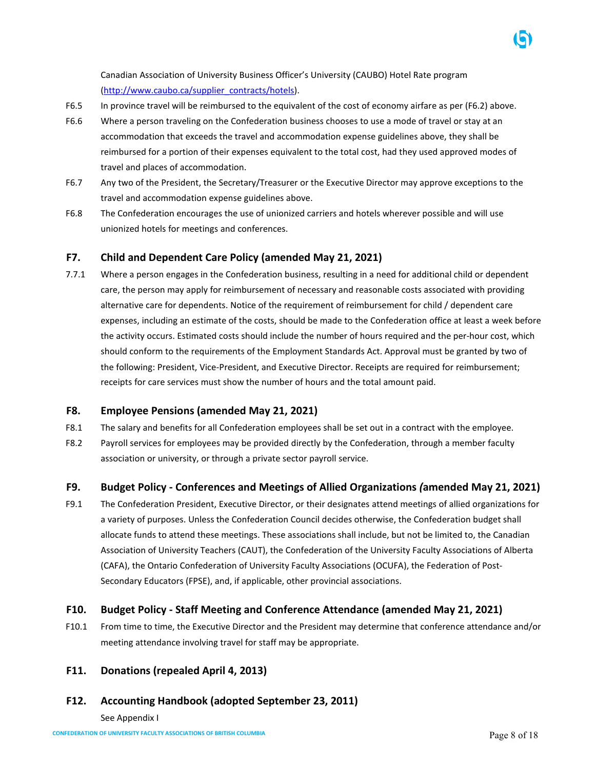Canadian Association of University Business Officer's University (CAUBO) Hotel Rate program [\(http://www.caubo.ca/supplier\\_contracts/hotels\)](http://www.caubo.ca/supplier_contracts/hotels).

- F6.5 In province travel will be reimbursed to the equivalent of the cost of economy airfare as per (F6.2) above.
- F6.6 Where a person traveling on the Confederation business chooses to use a mode of travel or stay at an accommodation that exceeds the travel and accommodation expense guidelines above, they shall be reimbursed for a portion of their expenses equivalent to the total cost, had they used approved modes of travel and places of accommodation.
- F6.7 Any two of the President, the Secretary/Treasurer or the Executive Director may approve exceptions to the travel and accommodation expense guidelines above.
- F6.8 The Confederation encourages the use of unionized carriers and hotels wherever possible and will use unionized hotels for meetings and conferences.

# <span id="page-7-0"></span>**F7. Child and Dependent Care Policy (amended May 21, 2021)**

7.7.1 Where a person engages in the Confederation business, resulting in a need for additional child or dependent care, the person may apply for reimbursement of necessary and reasonable costs associated with providing alternative care for dependents. Notice of the requirement of reimbursement for child / dependent care expenses, including an estimate of the costs, should be made to the Confederation office at least a week before the activity occurs. Estimated costs should include the number of hours required and the per-hour cost, which should conform to the requirements of the Employment Standards Act. Approval must be granted by two of the following: President, Vice-President, and Executive Director. Receipts are required for reimbursement; receipts for care services must show the number of hours and the total amount paid.

# <span id="page-7-1"></span>**F8. Employee Pensions (amended May 21, 2021)**

- F8.1 The salary and benefits for all Confederation employees shall be set out in a contract with the employee.
- F8.2 Payroll services for employees may be provided directly by the Confederation, through a member faculty association or university, or through a private sector payroll service.

# <span id="page-7-2"></span>**F9. Budget Policy - Conferences and Meetings of Allied Organizations** *(***amended May 21, 2021)**

F9.1 The Confederation President, Executive Director, or their designates attend meetings of allied organizations for a variety of purposes. Unless the Confederation Council decides otherwise, the Confederation budget shall allocate funds to attend these meetings. These associations shall include, but not be limited to, the Canadian Association of University Teachers (CAUT), the Confederation of the University Faculty Associations of Alberta (CAFA), the Ontario Confederation of University Faculty Associations (OCUFA), the Federation of Post-Secondary Educators (FPSE), and, if applicable, other provincial associations.

# <span id="page-7-3"></span>**F10. Budget Policy - Staff Meeting and Conference Attendance (amended May 21, 2021)**

F10.1 From time to time, the Executive Director and the President may determine that conference attendance and/or meeting attendance involving travel for staff may be appropriate.

# <span id="page-7-4"></span>**F11. Donations (repealed April 4, 2013)**

# <span id="page-7-5"></span>**F12. Accounting Handbook (adopted September 23, 2011)**

See Appendix I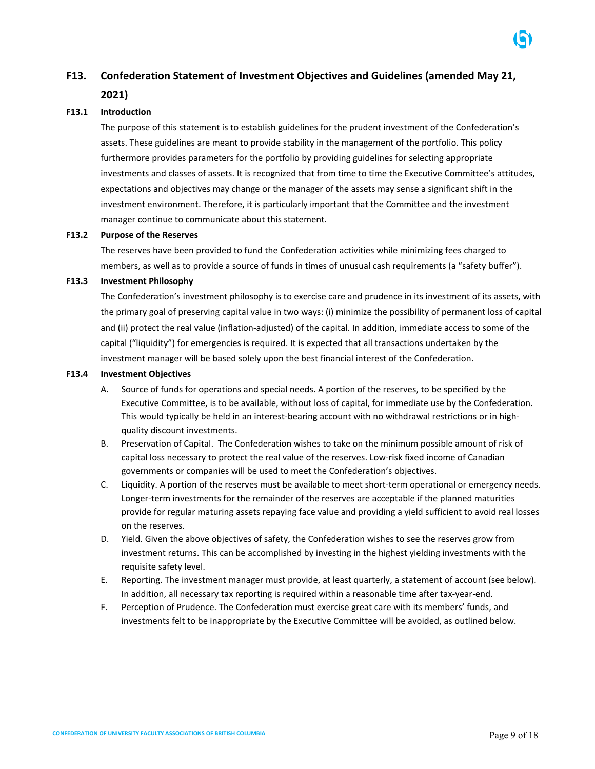# <span id="page-8-0"></span>**F13. Confederation Statement of Investment Objectives and Guidelines (amended May 21, 2021)**

#### **F13.1 Introduction**

The purpose of this statement is to establish guidelines for the prudent investment of the Confederation's assets. These guidelines are meant to provide stability in the management of the portfolio. This policy furthermore provides parameters for the portfolio by providing guidelines for selecting appropriate investments and classes of assets. It is recognized that from time to time the Executive Committee's attitudes, expectations and objectives may change or the manager of the assets may sense a significant shift in the investment environment. Therefore, it is particularly important that the Committee and the investment manager continue to communicate about this statement.

#### **F13.2 Purpose of the Reserves**

The reserves have been provided to fund the Confederation activities while minimizing fees charged to members, as well as to provide a source of funds in times of unusual cash requirements (a "safety buffer").

#### **F13.3 Investment Philosophy**

The Confederation's investment philosophy is to exercise care and prudence in its investment of its assets, with the primary goal of preserving capital value in two ways: (i) minimize the possibility of permanent loss of capital and (ii) protect the real value (inflation-adjusted) of the capital. In addition, immediate access to some of the capital ("liquidity") for emergencies is required. It is expected that all transactions undertaken by the investment manager will be based solely upon the best financial interest of the Confederation.

#### **F13.4 Investment Objectives**

- A. Source of funds for operations and special needs. A portion of the reserves, to be specified by the Executive Committee, is to be available, without loss of capital, for immediate use by the Confederation. This would typically be held in an interest-bearing account with no withdrawal restrictions or in highquality discount investments.
- B. Preservation of Capital. The Confederation wishes to take on the minimum possible amount of risk of capital loss necessary to protect the real value of the reserves. Low-risk fixed income of Canadian governments or companies will be used to meet the Confederation's objectives.
- C. Liquidity. A portion of the reserves must be available to meet short-term operational or emergency needs. Longer-term investments for the remainder of the reserves are acceptable if the planned maturities provide for regular maturing assets repaying face value and providing a yield sufficient to avoid real losses on the reserves.
- D. Yield. Given the above objectives of safety, the Confederation wishes to see the reserves grow from investment returns. This can be accomplished by investing in the highest yielding investments with the requisite safety level.
- E. Reporting. The investment manager must provide, at least quarterly, a statement of account (see below). In addition, all necessary tax reporting is required within a reasonable time after tax-year-end.
- F. Perception of Prudence. The Confederation must exercise great care with its members' funds, and investments felt to be inappropriate by the Executive Committee will be avoided, as outlined below.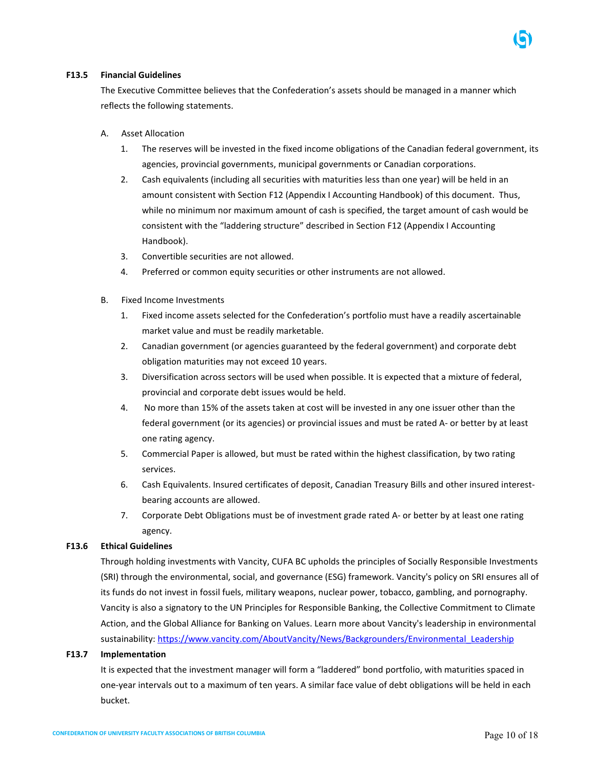

### **F13.5 Financial Guidelines**

The Executive Committee believes that the Confederation's assets should be managed in a manner which reflects the following statements.

- A. Asset Allocation
	- 1. The reserves will be invested in the fixed income obligations of the Canadian federal government, its agencies, provincial governments, municipal governments or Canadian corporations.
	- 2. Cash equivalents (including all securities with maturities less than one year) will be held in an amount consistent with Section F12 (Appendix I Accounting Handbook) of this document. Thus, while no minimum nor maximum amount of cash is specified, the target amount of cash would be consistent with the "laddering structure" described in Section F12 (Appendix I Accounting Handbook).
	- 3. Convertible securities are not allowed.
	- 4. Preferred or common equity securities or other instruments are not allowed.
- B. Fixed Income Investments
	- 1. Fixed income assets selected for the Confederation's portfolio must have a readily ascertainable market value and must be readily marketable.
	- 2. Canadian government (or agencies guaranteed by the federal government) and corporate debt obligation maturities may not exceed 10 years.
	- 3. Diversification across sectors will be used when possible. It is expected that a mixture of federal, provincial and corporate debt issues would be held.
	- 4. No more than 15% of the assets taken at cost will be invested in any one issuer other than the federal government (or its agencies) or provincial issues and must be rated A- or better by at least one rating agency.
	- 5. Commercial Paper is allowed, but must be rated within the highest classification, by two rating services.
	- 6. Cash Equivalents. Insured certificates of deposit, Canadian Treasury Bills and other insured interestbearing accounts are allowed.
	- 7. Corporate Debt Obligations must be of investment grade rated A- or better by at least one rating agency.

#### **F13.6 Ethical Guidelines**

Through holding investments with Vancity, CUFA BC upholds the principles of Socially Responsible Investments (SRI) through the environmental, social, and governance (ESG) framework. Vancity's policy on SRI ensures all of its funds do not invest in fossil fuels, military weapons, nuclear power, tobacco, gambling, and pornography. Vancity is also a signatory to the UN Principles for Responsible Banking, the Collective Commitment to Climate Action, and the Global Alliance for Banking on Values. Learn more about Vancity's leadership in environmental sustainability: [https://www.vancity.com/AboutVancity/News/Backgrounders/Environmental\\_Leadership](https://www.vancity.com/AboutVancity/News/Backgrounders/Environmental_Leadership)

#### **F13.7 Implementation**

It is expected that the investment manager will form a "laddered" bond portfolio, with maturities spaced in one-year intervals out to a maximum of ten years. A similar face value of debt obligations will be held in each bucket.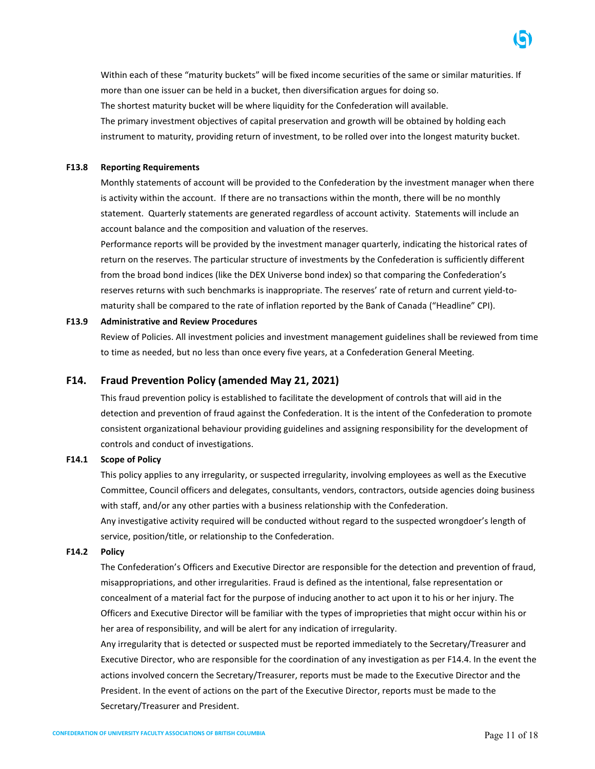Within each of these "maturity buckets" will be fixed income securities of the same or similar maturities. If more than one issuer can be held in a bucket, then diversification argues for doing so. The shortest maturity bucket will be where liquidity for the Confederation will available. The primary investment objectives of capital preservation and growth will be obtained by holding each instrument to maturity, providing return of investment, to be rolled over into the longest maturity bucket.

#### **F13.8 Reporting Requirements**

Monthly statements of account will be provided to the Confederation by the investment manager when there is activity within the account. If there are no transactions within the month, there will be no monthly statement. Quarterly statements are generated regardless of account activity. Statements will include an account balance and the composition and valuation of the reserves.

Performance reports will be provided by the investment manager quarterly, indicating the historical rates of return on the reserves. The particular structure of investments by the Confederation is sufficiently different from the broad bond indices (like the DEX Universe bond index) so that comparing the Confederation's reserves returns with such benchmarks is inappropriate. The reserves' rate of return and current yield-tomaturity shall be compared to the rate of inflation reported by the Bank of Canada ("Headline" CPI).

### **F13.9 Administrative and Review Procedures**

Review of Policies. All investment policies and investment management guidelines shall be reviewed from time to time as needed, but no less than once every five years, at a Confederation General Meeting.

### <span id="page-10-0"></span>**F14. Fraud Prevention Policy (amended May 21, 2021)**

This fraud prevention policy is established to facilitate the development of controls that will aid in the detection and prevention of fraud against the Confederation. It is the intent of the Confederation to promote consistent organizational behaviour providing guidelines and assigning responsibility for the development of controls and conduct of investigations.

#### **F14.1 Scope of Policy**

This policy applies to any irregularity, or suspected irregularity, involving employees as well as the Executive Committee, Council officers and delegates, consultants, vendors, contractors, outside agencies doing business with staff, and/or any other parties with a business relationship with the Confederation. Any investigative activity required will be conducted without regard to the suspected wrongdoer's length of service, position/title, or relationship to the Confederation.

#### **F14.2 Policy**

The Confederation's Officers and Executive Director are responsible for the detection and prevention of fraud, misappropriations, and other irregularities. Fraud is defined as the intentional, false representation or concealment of a material fact for the purpose of inducing another to act upon it to his or her injury. The Officers and Executive Director will be familiar with the types of improprieties that might occur within his or her area of responsibility, and will be alert for any indication of irregularity.

Any irregularity that is detected or suspected must be reported immediately to the Secretary/Treasurer and Executive Director, who are responsible for the coordination of any investigation as per F14.4. In the event the actions involved concern the Secretary/Treasurer, reports must be made to the Executive Director and the President. In the event of actions on the part of the Executive Director, reports must be made to the Secretary/Treasurer and President.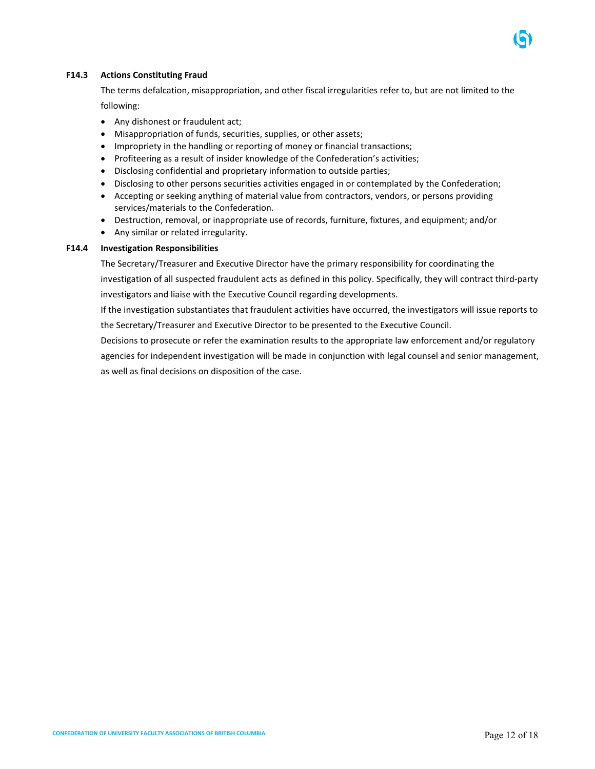### **F14.3 Actions Constituting Fraud**

The terms defalcation, misappropriation, and other fiscal irregularities refer to, but are not limited to the following:

- Any dishonest or fraudulent act;
- Misappropriation of funds, securities, supplies, or other assets;
- Impropriety in the handling or reporting of money or financial transactions;
- Profiteering as a result of insider knowledge of the Confederation's activities;
- Disclosing confidential and proprietary information to outside parties;
- Disclosing to other persons securities activities engaged in or contemplated by the Confederation;
- Accepting or seeking anything of material value from contractors, vendors, or persons providing services/materials to the Confederation.
- Destruction, removal, or inappropriate use of records, furniture, fixtures, and equipment; and/or
- Any similar or related irregularity.

#### **F14.4 Investigation Responsibilities**

The Secretary/Treasurer and Executive Director have the primary responsibility for coordinating the investigation of all suspected fraudulent acts as defined in this policy. Specifically, they will contract third-party investigators and liaise with the Executive Council regarding developments.

If the investigation substantiates that fraudulent activities have occurred, the investigators will issue reports to the Secretary/Treasurer and Executive Director to be presented to the Executive Council.

Decisions to prosecute or refer the examination results to the appropriate law enforcement and/or regulatory agencies for independent investigation will be made in conjunction with legal counsel and senior management, as well as final decisions on disposition of the case.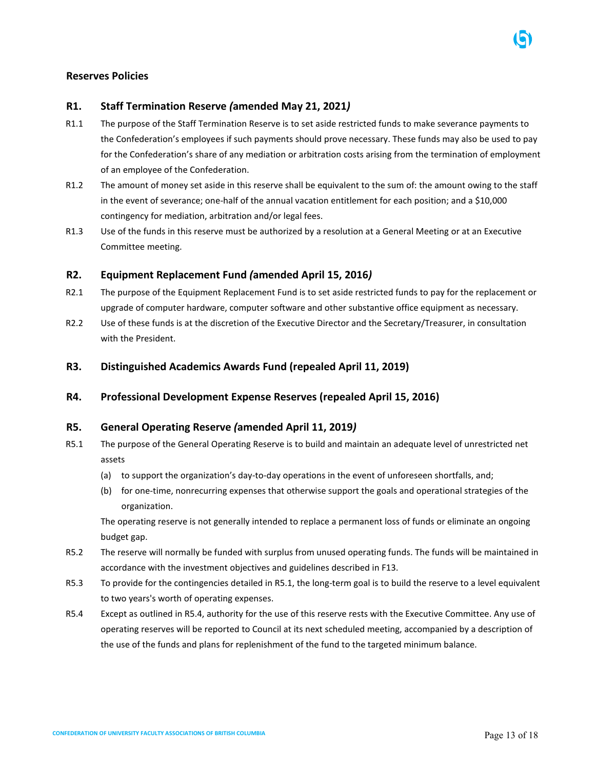# <span id="page-12-0"></span>**Reserves Policies**

# <span id="page-12-1"></span>**R1. Staff Termination Reserve** *(***amended May 21, 2021***)*

- R1.1 The purpose of the Staff Termination Reserve is to set aside restricted funds to make severance payments to the Confederation's employees if such payments should prove necessary. These funds may also be used to pay for the Confederation's share of any mediation or arbitration costs arising from the termination of employment of an employee of the Confederation.
- R1.2 The amount of money set aside in this reserve shall be equivalent to the sum of: the amount owing to the staff in the event of severance; one-half of the annual vacation entitlement for each position; and a \$10,000 contingency for mediation, arbitration and/or legal fees.
- R1.3 Use of the funds in this reserve must be authorized by a resolution at a General Meeting or at an Executive Committee meeting.

# <span id="page-12-2"></span>**R2. Equipment Replacement Fund** *(***amended April 15, 2016***)*

- R2.1 The purpose of the Equipment Replacement Fund is to set aside restricted funds to pay for the replacement or upgrade of computer hardware, computer software and other substantive office equipment as necessary.
- R2.2 Use of these funds is at the discretion of the Executive Director and the Secretary/Treasurer, in consultation with the President.
- <span id="page-12-3"></span>**R3. Distinguished Academics Awards Fund (repealed April 11, 2019)**

# <span id="page-12-4"></span>**R4. Professional Development Expense Reserves (repealed April 15, 2016)**

# <span id="page-12-5"></span>**R5. General Operating Reserve** *(***amended April 11, 2019***)*

- R5.1 The purpose of the General Operating Reserve is to build and maintain an adequate level of unrestricted net assets
	- (a) to support the organization's day-to-day operations in the event of unforeseen shortfalls, and;
	- (b) for one-time, nonrecurring expenses that otherwise support the goals and operational strategies of the organization.

The operating reserve is not generally intended to replace a permanent loss of funds or eliminate an ongoing budget gap.

- R5.2 The reserve will normally be funded with surplus from unused operating funds. The funds will be maintained in accordance with the investment objectives and guidelines described in F13.
- R5.3 To provide for the contingencies detailed in R5.1, the long-term goal is to build the reserve to a level equivalent to two years's worth of operating expenses.
- R5.4 Except as outlined in R5.4, authority for the use of this reserve rests with the Executive Committee. Any use of operating reserves will be reported to Council at its next scheduled meeting, accompanied by a description of the use of the funds and plans for replenishment of the fund to the targeted minimum balance.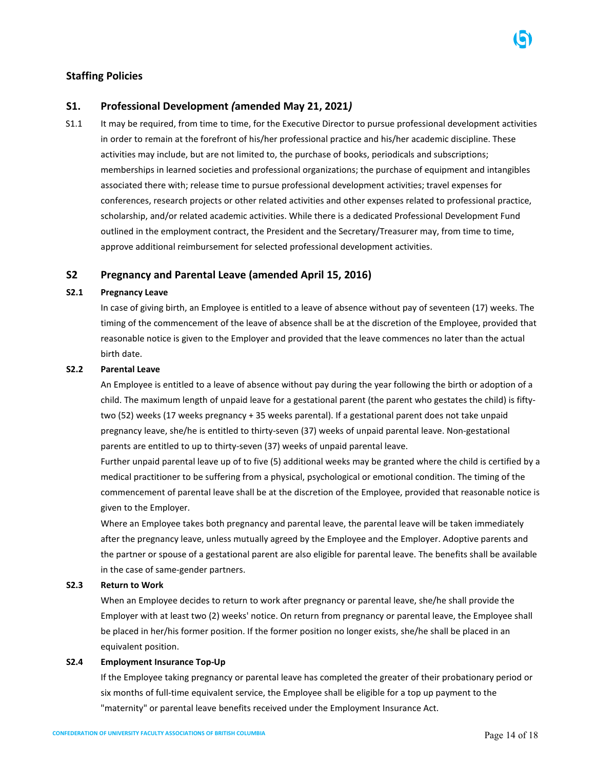# <span id="page-13-0"></span>**Staffing Policies**

# <span id="page-13-1"></span>**S1. Professional Development** *(***amended May 21, 2021***)*

S1.1 It may be required, from time to time, for the Executive Director to pursue professional development activities in order to remain at the forefront of his/her professional practice and his/her academic discipline. These activities may include, but are not limited to, the purchase of books, periodicals and subscriptions; memberships in learned societies and professional organizations; the purchase of equipment and intangibles associated there with; release time to pursue professional development activities; travel expenses for conferences, research projects or other related activities and other expenses related to professional practice, scholarship, and/or related academic activities. While there is a dedicated Professional Development Fund outlined in the employment contract, the President and the Secretary/Treasurer may, from time to time, approve additional reimbursement for selected professional development activities.

# <span id="page-13-2"></span>**S2 Pregnancy and Parental Leave (amended April 15, 2016)**

### **S2.1 Pregnancy Leave**

In case of giving birth, an Employee is entitled to a leave of absence without pay of seventeen (17) weeks. The timing of the commencement of the leave of absence shall be at the discretion of the Employee, provided that reasonable notice is given to the Employer and provided that the leave commences no later than the actual birth date.

### **S2.2 Parental Leave**

An Employee is entitled to a leave of absence without pay during the year following the birth or adoption of a child. The maximum length of unpaid leave for a gestational parent (the parent who gestates the child) is fiftytwo (52) weeks (17 weeks pregnancy + 35 weeks parental). If a gestational parent does not take unpaid pregnancy leave, she/he is entitled to thirty-seven (37) weeks of unpaid parental leave. Non-gestational parents are entitled to up to thirty-seven (37) weeks of unpaid parental leave.

Further unpaid parental leave up of to five (5) additional weeks may be granted where the child is certified by a medical practitioner to be suffering from a physical, psychological or emotional condition. The timing of the commencement of parental leave shall be at the discretion of the Employee, provided that reasonable notice is given to the Employer.

Where an Employee takes both pregnancy and parental leave, the parental leave will be taken immediately after the pregnancy leave, unless mutually agreed by the Employee and the Employer. Adoptive parents and the partner or spouse of a gestational parent are also eligible for parental leave. The benefits shall be available in the case of same-gender partners.

### **S2.3 Return to Work**

When an Employee decides to return to work after pregnancy or parental leave, she/he shall provide the Employer with at least two (2) weeks' notice. On return from pregnancy or parental leave, the Employee shall be placed in her/his former position. If the former position no longer exists, she/he shall be placed in an equivalent position.

## **S2.4 Employment Insurance Top-Up**

If the Employee taking pregnancy or parental leave has completed the greater of their probationary period or six months of full-time equivalent service, the Employee shall be eligible for a top up payment to the "maternity" or parental leave benefits received under the Employment Insurance Act.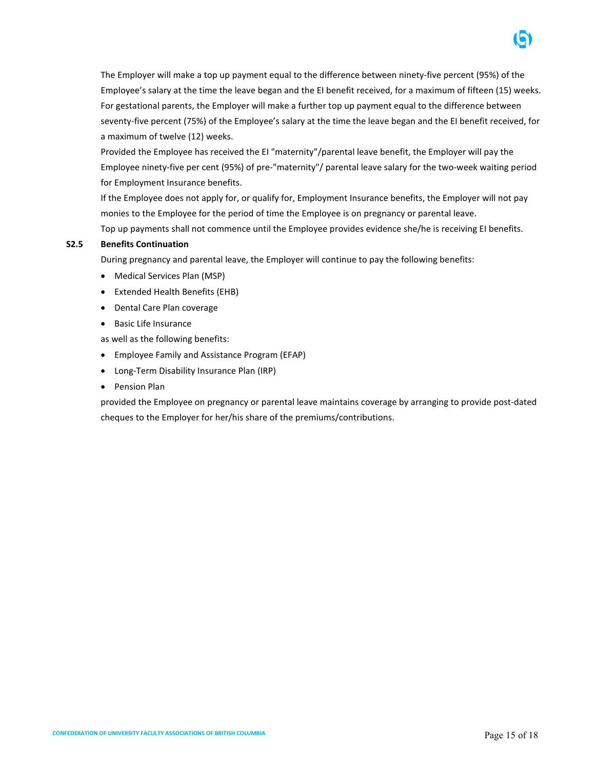

Provided the Employee has received the EI "maternity"/parental leave benefit, the Employer will pay the Employee ninety-five per cent (95%) of pre-"maternity"/ parental leave salary for the two-week waiting period for Employment Insurance benefits.

If the Employee does not apply for, or qualify for, Employment Insurance benefits, the Employer will not pay monies to the Employee for the period of time the Employee is on pregnancy or parental leave. Top up payments shall not commence until the Employee provides evidence she/he is receiving EI benefits.

### **S2.5 Benefits Continuation**

During pregnancy and parental leave, the Employer will continue to pay the following benefits:

- Medical Services Plan (MSP)
- Extended Health Benefits (EHB)
- Dental Care Plan coverage
- Basic Life Insurance

as well as the following benefits:

- Employee Family and Assistance Program (EFAP)
- Long-Term Disability Insurance Plan (IRP)
- Pension Plan

provided the Employee on pregnancy or parental leave maintains coverage by arranging to provide post-dated cheques to the Employer for her/his share of the premiums/contributions.

ចោ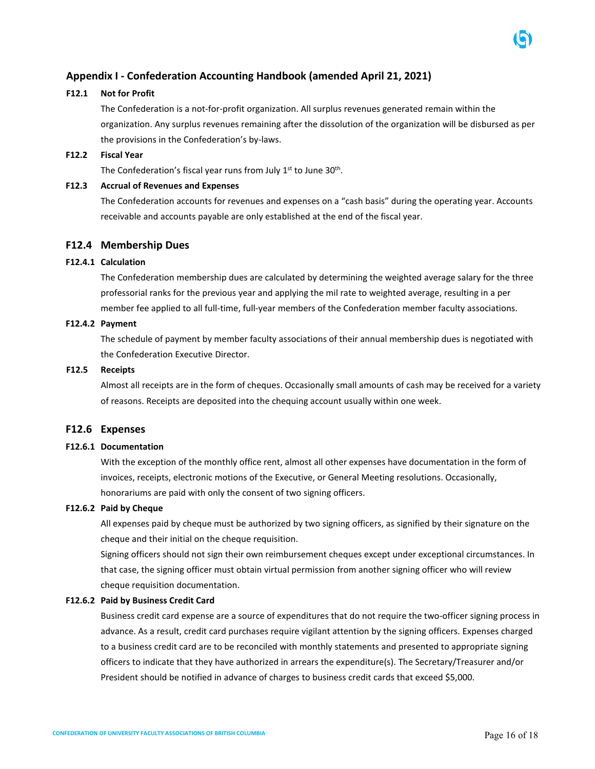# <span id="page-15-0"></span>**Appendix I - Confederation Accounting Handbook (amended April 21, 2021)**

### **F12.1 Not for Profit**

The Confederation is a not-for-profit organization. All surplus revenues generated remain within the organization. Any surplus revenues remaining after the dissolution of the organization will be disbursed as per the provisions in the Confederation's by-laws.

### **F12.2 Fiscal Year**

The Confederation's fiscal year runs from July  $1<sup>st</sup>$  to June  $30<sup>th</sup>$ .

### **F12.3 Accrual of Revenues and Expenses**

The Confederation accounts for revenues and expenses on a "cash basis" during the operating year. Accounts receivable and accounts payable are only established at the end of the fiscal year.

### **F12.4 Membership Dues**

### **F12.4.1 Calculation**

The Confederation membership dues are calculated by determining the weighted average salary for the three professorial ranks for the previous year and applying the mil rate to weighted average, resulting in a per member fee applied to all full-time, full-year members of the Confederation member faculty associations.

### **F12.4.2 Payment**

The schedule of payment by member faculty associations of their annual membership dues is negotiated with the Confederation Executive Director.

#### **F12.5 Receipts**

Almost all receipts are in the form of cheques. Occasionally small amounts of cash may be received for a variety of reasons. Receipts are deposited into the chequing account usually within one week.

### **F12.6 Expenses**

### **F12.6.1 Documentation**

With the exception of the monthly office rent, almost all other expenses have documentation in the form of invoices, receipts, electronic motions of the Executive, or General Meeting resolutions. Occasionally, honorariums are paid with only the consent of two signing officers.

#### **F12.6.2 Paid by Cheque**

All expenses paid by cheque must be authorized by two signing officers, as signified by their signature on the cheque and their initial on the cheque requisition.

Signing officers should not sign their own reimbursement cheques except under exceptional circumstances. In that case, the signing officer must obtain virtual permission from another signing officer who will review cheque requisition documentation.

#### **F12.6.2 Paid by Business Credit Card**

Business credit card expense are a source of expenditures that do not require the two-officer signing process in advance. As a result, credit card purchases require vigilant attention by the signing officers. Expenses charged to a business credit card are to be reconciled with monthly statements and presented to appropriate signing officers to indicate that they have authorized in arrears the expenditure(s). The Secretary/Treasurer and/or President should be notified in advance of charges to business credit cards that exceed \$5,000.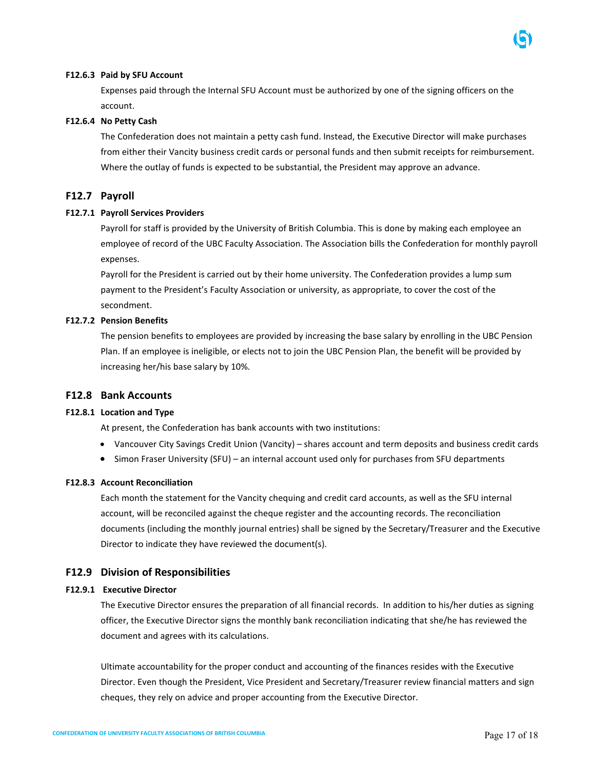#### **F12.6.3 Paid by SFU Account**

Expenses paid through the Internal SFU Account must be authorized by one of the signing officers on the account.

#### **F12.6.4 No Petty Cash**

The Confederation does not maintain a petty cash fund. Instead, the Executive Director will make purchases from either their Vancity business credit cards or personal funds and then submit receipts for reimbursement. Where the outlay of funds is expected to be substantial, the President may approve an advance.

### **F12.7 Payroll**

#### **F12.7.1 Payroll Services Providers**

Payroll for staff is provided by the University of British Columbia. This is done by making each employee an employee of record of the UBC Faculty Association. The Association bills the Confederation for monthly payroll expenses.

Payroll for the President is carried out by their home university. The Confederation provides a lump sum payment to the President's Faculty Association or university, as appropriate, to cover the cost of the secondment.

#### **F12.7.2 Pension Benefits**

The pension benefits to employees are provided by increasing the base salary by enrolling in the UBC Pension Plan. If an employee is ineligible, or elects not to join the UBC Pension Plan, the benefit will be provided by increasing her/his base salary by 10%.

### **F12.8 Bank Accounts**

#### **F12.8.1 Location and Type**

At present, the Confederation has bank accounts with two institutions:

- Vancouver City Savings Credit Union (Vancity) shares account and term deposits and business credit cards
- Simon Fraser University (SFU) an internal account used only for purchases from SFU departments

#### **F12.8.3 Account Reconciliation**

Each month the statement for the Vancity chequing and credit card accounts, as well as the SFU internal account, will be reconciled against the cheque register and the accounting records. The reconciliation documents (including the monthly journal entries) shall be signed by the Secretary/Treasurer and the Executive Director to indicate they have reviewed the document(s).

#### **F12.9 Division of Responsibilities**

#### **F12.9.1 Executive Director**

The Executive Director ensures the preparation of all financial records. In addition to his/her duties as signing officer, the Executive Director signs the monthly bank reconciliation indicating that she/he has reviewed the document and agrees with its calculations.

Ultimate accountability for the proper conduct and accounting of the finances resides with the Executive Director. Even though the President, Vice President and Secretary/Treasurer review financial matters and sign cheques, they rely on advice and proper accounting from the Executive Director.